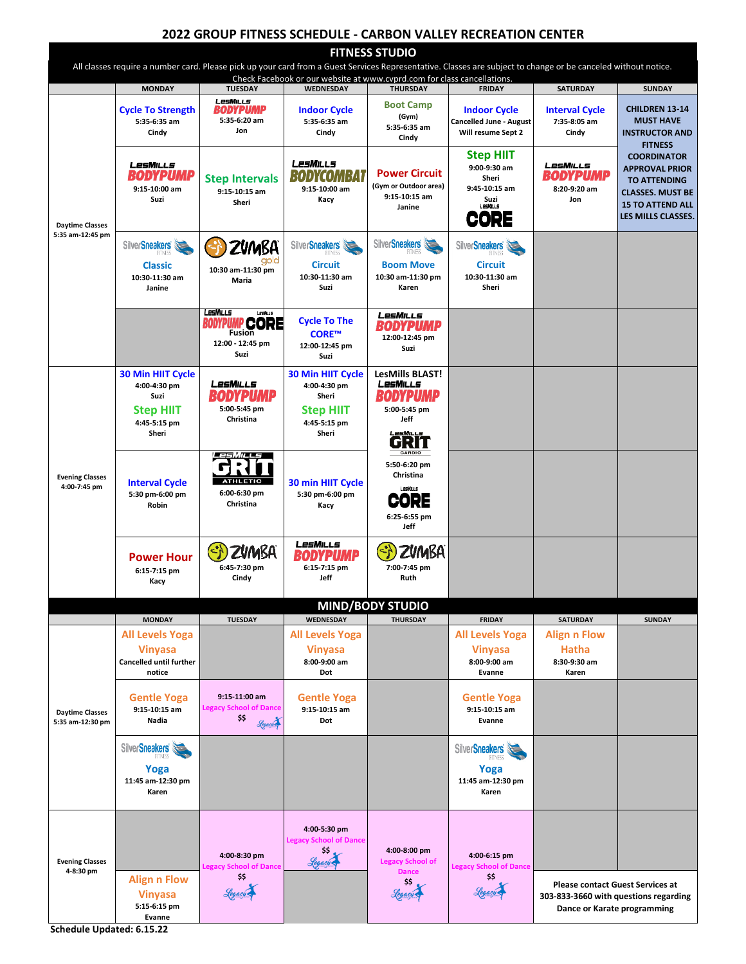## **2022 GROUP FITNESS SCHEDULE - CARBON VALLEY RECREATION CENTER**

**FITNESS STUDIO** All classes require a number card. Please pick up your card from a Guest Services Representative. Classes are subject to change or be canceled without notice. Check Facebook or our website at www.cvprd.com for class cancellations.<br>
TUESDAY | WEDNESDAY | THURSDAY | FRIDAY **MONDAY TUESDAY WEDNESDAY THURSDAY FRIDAY SATURDAY SUNDAY** LesMills **Boot Camp Cycle To Strength BODYPUMP Indoor Cycle Indoor Cycle Interval Cycle CHILDREN 13-14 (Gym) 5:35-6:20 am 5:35-6:35 am 5:35-6:35 am Cancelled June - August 7:35-8:05 am MUST HAVE 5:35-6:35 am Cindy Jon Cindy Will resume Sept 2 Cindy INSTRUCTOR AND Cindy FITNESS Step HIIT COORDINATOR**  LesMills **LesMILLs** LesMiLLs **9:00-9:30 am APPROVAL PRIOR Power Circuit BODYPUMP BODYCOMBAT BODYPUMP Sheri Step Intervals TO ATTENDING (Gym or Outdoor area) 9:15-10:00 am 9:15-10:00 am 9:45-10:15 am 8:20-9:20 am 9:15-10:15 am CLASSES. MUST BE 9:15-10:15 am Suzi Kacy Suzi Jon Sheri 15 TO ATTEND ALL Janine CORE LES MILLS CLASSES. Daytime Classes 5:35 am-12:45 pm ZUMBA** SilverSneakers SilverSneakers SilverSneakers -)  **Classic Circuit Boom Move Circuit 10:30 am-11:30 pm 10:30-11:30 am 10:30-11:30 am 10:30 am-11:30 pm 10:30-11:30 am Maria Sheri Janine Suzi Karen**  LesMills LesMills **Cycle To The**  BODYPUI **PCORE BODYPUMP Fusion CORE™ 12:00-12:45 pm 12:00 - 12:45 pm 12:00-12:45 pm Suzi Suzi Suzi 30 Min HIIT Cycle 30 Min HIIT Cycle LesMills BLAST!**  LesMiLLs **4:00-4:30 pm 4:00-4:30 pm BODYPUMP BODYPUMF Suzi Sheri 5:00-5:45 pm 5:00-5:45 pm Step HIIT Step HIIT Christina Jeff 4:45-5:15 pm 4:45-5:15 pm Sheri Sheri**  GRIT *m* es **5:50-6:20 pm**  o) **Christina Evening Classes Interval Cycle ATHLETIC 30 min HIIT Cycle 4:00-7:45 pm 6:00-6:30 pm 5:30 pm-6:00 pm 5:30 pm-6:00 pm**  CORE **Robin Christina Kacy 6:25-6:55 pm Jeff**LesMILLs **ZUMBA** ⊰ **ZVMBA BODYPUMP Power Hour 6:45-7:30 pm 6:15-7:15 pm 6:15-7:15 pm 7:00-7:45 pm Cindy Jeff Ruth Kacy MIND/BODY STUDIO MONDAY TUESDAY WEDNESDAY THURSDAY FRIDAY SATURDAY SUNDAY All Levels Yoga All Levels Yoga All Levels Yoga Align n Flow Hatha Vinyasa Vinyasa Vinyasa Cancelled until further 8:00-9:00 am 8:00-9:00 am 8:30-9:30 am notice Dot Evanne Karen 9:15-11:00 am Gentle Yoga Gentle Yoga Gentle Yoga 9:15-10:15 am Legacy School of Dance 9:15-10:15 am 9:15-10:15 am Daytime Classes \$\$ Nadia**  Legacy **Dot Evanne 5:35 am-12:30 pm SilverSneakers SilverSneakers [Yoga](http://www.trufitnessny.com/wp-content/uploads/2017/10/Silver-s-1.png)  Yoga 11:45 am-12:30 pm 11:45 am-12:30 pm Karen Karen 4:00-5:30 pm Legacy School of Dance \$\$**<br>Legacio **4:00-8:00 pm 4:00-8:30 pm 4:00-6:15 pm Evening Classes Lev** Scho **Legacy School of Dance Legacy School of Dance 4-8:30 pm Dance \$\$ [\\$\\$](https://www.legacydancecolorado.com/) Align n Flow [\\$\\$](https://www.legacydancecolorado.com/)**<br>Legacy **Please contact Guest Services at**  Legacu Legaçõ **Vinyasa 303-833-3660 with questions regarding 5:15-6:15 pm Dance or Karate programming Evanne** 

**Schedule Updated: 6.15.22**